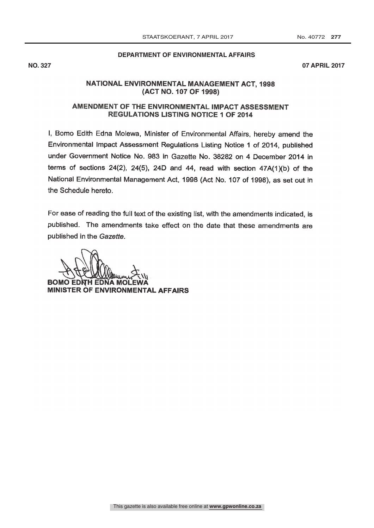## **DEPARTMENT OF ENVIRONMENTAL AFFAIRS**

**NO. 327 07 APRIL 2017**

# NATIONAL ENVIRONMENTAL MANAGEMENT ACT, 1998 (ACT NO. 107 OF 1998)

# AMENDMENT OF THE ENVIRONMENTAL IMPACT ASSESSMENT **REGULATIONS LISTING NOTICE 1 OF 2014**

I, Bomo Edith Edna Molewa, Minister of Environmental Affairs, hereby amend the Environmental Impact Assessment Regulations Listing Notice 1 of 2014, published under Government Notice No. 983 in Gazette No. 38282 on 4 December 2014 in terms of sections  $24(2)$ ,  $24(5)$ ,  $24D$  and  $44$ , read with section  $47A(1)(b)$  of the National Environmental Management Act, 1998 (Act No. 107 of 1998), as set out in the Schedule hereto.

For ease of reading the full text of the existing list, with the amendments indicated, is published. The amendments take effect on the date that these amendments are published in the Gazette.

**BOMO EDNH EDNA MOLE** MINISTER OF ENVIRONMENTAL AFFAIRS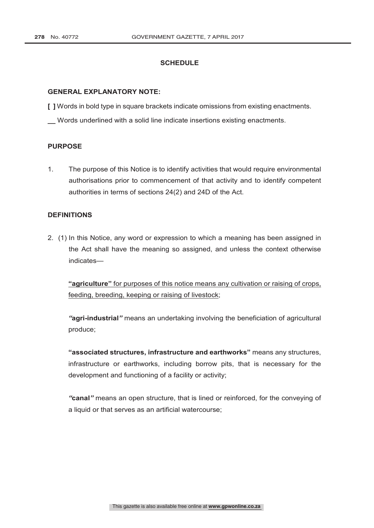## **SCHEDULE**

### **GENERAL EXPLANATORY NOTE:**

**[ ]** Words in bold type in square brackets indicate omissions from existing enactments.

**\_\_** Words underlined with a solid line indicate insertions existing enactments.

### **PURPOSE**

1. The purpose of this Notice is to identify activities that would require environmental authorisations prior to commencement of that activity and to identify competent authorities in terms of sections 24(2) and 24D of the Act.

#### **DEFINITIONS**

2. (1) In this Notice, any word or expression to which a meaning has been assigned in the Act shall have the meaning so assigned, and unless the context otherwise indicates—

**"agriculture"** for purposes of this notice means any cultivation or raising of crops, feeding, breeding, keeping or raising of livestock;

*"***agri-industrial***"* means an undertaking involving the beneficiation of agricultural produce;

**"associated structures, infrastructure and earthworks"** means any structures, infrastructure or earthworks, including borrow pits, that is necessary for the development and functioning of a facility or activity;

*"***canal***"* means an open structure, that is lined or reinforced, for the conveying of a liquid or that serves as an artificial watercourse;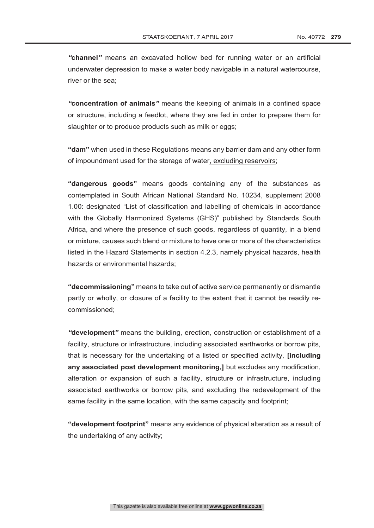*"***channel***"* means an excavated hollow bed for running water or an artificial underwater depression to make a water body navigable in a natural watercourse, river or the sea;

*"***concentration of animals***"* means the keeping of animals in a confined space or structure, including a feedlot, where they are fed in order to prepare them for slaughter or to produce products such as milk or eggs;

**"dam"** when used in these Regulations means any barrier dam and any other form of impoundment used for the storage of water, excluding reservoirs;

**"dangerous goods"** means goods containing any of the substances as contemplated in South African National Standard No. 10234, supplement 2008 1.00: designated "List of classification and labelling of chemicals in accordance with the Globally Harmonized Systems (GHS)" published by Standards South Africa, and where the presence of such goods, regardless of quantity, in a blend or mixture, causes such blend or mixture to have one or more of the characteristics listed in the Hazard Statements in section 4.2.3, namely physical hazards, health hazards or environmental hazards;

**"decommissioning"** means to take out of active service permanently or dismantle partly or wholly, or closure of a facility to the extent that it cannot be readily recommissioned;

*"***development***"* means the building, erection, construction or establishment of a facility, structure or infrastructure, including associated earthworks or borrow pits, that is necessary for the undertaking of a listed or specified activity, **[including any associated post development monitoring,]** but excludes any modification, alteration or expansion of such a facility, structure or infrastructure, including associated earthworks or borrow pits, and excluding the redevelopment of the same facility in the same location, with the same capacity and footprint;

**"development footprint"** means any evidence of physical alteration as a result of the undertaking of any activity;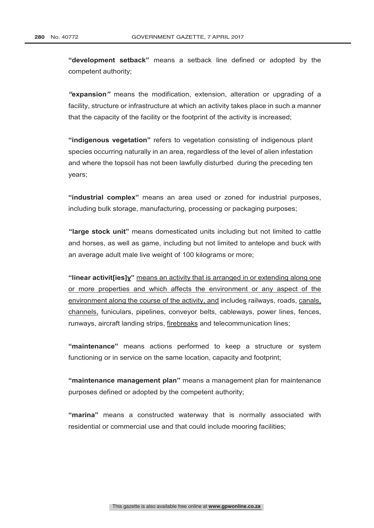**"development setback"** means a setback line defined or adopted by the competent authority;

*"***expansion***"* means the modification, extension, alteration or upgrading of a facility, structure or infrastructure at which an activity takes place in such a manner that the capacity of the facility or the footprint of the activity is increased;

**"indigenous vegetation"** refers to vegetation consisting of indigenous plant species occurring naturally in an area, regardless of the level of alien infestation and where the topsoil has not been lawfully disturbed during the preceding ten years;

**"industrial complex"** means an area used or zoned for industrial purposes, including bulk storage, manufacturing, processing or packaging purposes;

**"large stock unit"** means domesticated units including but not limited to cattle and horses, as well as game, including but not limited to antelope and buck with an average adult male live weight of 100 kilograms or more;

**"linear activit[ies]y"** means an activity that is arranged in or extending along one or more properties and which affects the environment or any aspect of the environment along the course of the activity, and includes railways, roads, canals, channels, funiculars, pipelines, conveyor belts, cableways, power lines, fences, runways, aircraft landing strips, firebreaks and telecommunication lines;

**"maintenance"** means actions performed to keep a structure or system functioning or in service on the same location, capacity and footprint;

**"maintenance management plan"** means a management plan for maintenance purposes defined or adopted by the competent authority;

**"marina"** means a constructed waterway that is normally associated with residential or commercial use and that could include mooring facilities;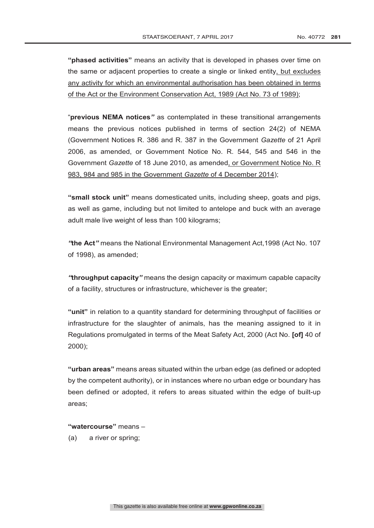**"phased activities"** means an activity that is developed in phases over time on the same or adjacent properties to create a single or linked entity, but excludes any activity for which an environmental authorisation has been obtained in terms of the Act or the Environment Conservation Act, 1989 (Act No. 73 of 1989);

"**previous NEMA notices***"* as contemplated in these transitional arrangements means the previous notices published in terms of section 24(2) of NEMA (Government Notices R. 386 and R. 387 in the Government *Gazette* of 21 April 2006, as amended, or Government Notice No. R. 544, 545 and 546 in the Government *Gazette* of 18 June 2010, as amended, or Government Notice No. R 983, 984 and 985 in the Government *Gazette* of 4 December 2014);

**"small stock unit"** means domesticated units, including sheep, goats and pigs, as well as game, including but not limited to antelope and buck with an average adult male live weight of less than 100 kilograms;

*"***the Act***"* means the National Environmental Management Act,1998 (Act No. 107 of 1998), as amended;

*"***throughput capacity***"* means the design capacity or maximum capable capacity of a facility, structures or infrastructure, whichever is the greater;

**"unit"** in relation to a quantity standard for determining throughput of facilities or infrastructure for the slaughter of animals, has the meaning assigned to it in Regulations promulgated in terms of the Meat Safety Act, 2000 (Act No. **[of]** 40 of 2000);

**"urban areas"** means areas situated within the urban edge (as defined or adopted by the competent authority), or in instances where no urban edge or boundary has been defined or adopted, it refers to areas situated within the edge of built-up areas;

**"watercourse"** means –

(a) a river or spring;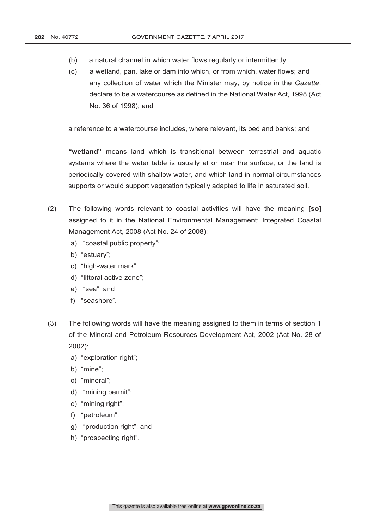- (b) a natural channel in which water flows regularly or intermittently;
- (c) a wetland, pan, lake or dam into which, or from which, water flows; and any collection of water which the Minister may, by notice in the *Gazette*, declare to be a watercourse as defined in the National Water Act, 1998 (Act No. 36 of 1998); and

a reference to a watercourse includes, where relevant, its bed and banks; and

**"wetland"** means land which is transitional between terrestrial and aquatic systems where the water table is usually at or near the surface, or the land is periodically covered with shallow water, and which land in normal circumstances supports or would support vegetation typically adapted to life in saturated soil.

- (2) The following words relevant to coastal activities will have the meaning **[so]** assigned to it in the National Environmental Management: Integrated Coastal Management Act, 2008 (Act No. 24 of 2008):
	- a) "coastal public property";
	- b) "estuary";
	- c) "high-water mark";
	- d) "littoral active zone";
	- e) "sea"; and
	- f) "seashore".
- (3) The following words will have the meaning assigned to them in terms of section 1 of the Mineral and Petroleum Resources Development Act, 2002 (Act No. 28 of 2002):
	- a) "exploration right";
	- b) "mine";
	- c) "mineral";
	- d) "mining permit";
	- e) "mining right";
	- f) "petroleum";
	- g) "production right"; and
	- h) "prospecting right".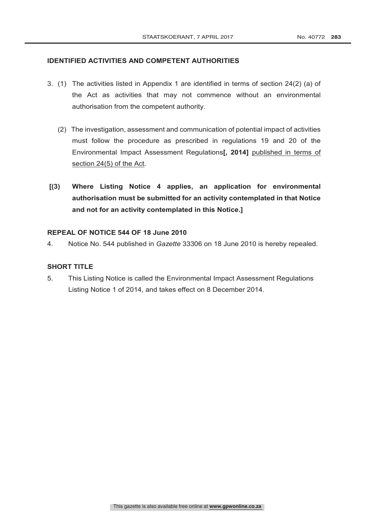## **IDENTIFIED ACTIVITIES AND COMPETENT AUTHORITIES**

- 3. (1) The activities listed in Appendix 1 are identified in terms of section 24(2) (a) of the Act as activities that may not commence without an environmental authorisation from the competent authority.
	- (2) The investigation, assessment and communication of potential impact of activities must follow the procedure as prescribed in regulations 19 and 20 of the Environmental Impact Assessment Regulations**[, 2014]** published in terms of section 24(5) of the Act.
- **[(3) Where Listing Notice 4 applies, an application for environmental authorisation must be submitted for an activity contemplated in that Notice and not for an activity contemplated in this Notice.]**

## **REPEAL OF NOTICE 544 OF 18 June 2010**

4. Notice No. 544 published in *Gazette* 33306 on 18 June 2010 is hereby repealed.

## **SHORT TITLE**

5. This Listing Notice is called the Environmental Impact Assessment Regulations Listing Notice 1 of 2014, and takes effect on 8 December 2014.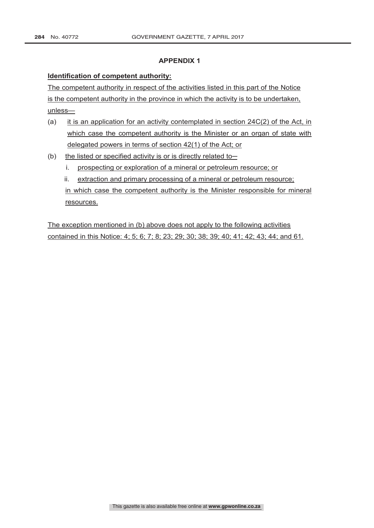## **APPENDIX 1**

## **Identification of competent authority:**

The competent authority in respect of the activities listed in this part of the Notice is the competent authority in the province in which the activity is to be undertaken, unless—

- (a) it is an application for an activity contemplated in section  $24C(2)$  of the Act, in which case the competent authority is the Minister or an organ of state with delegated powers in terms of section 42(1) of the Act; or
- (b) the listed or specified activity is or is directly related to  $$ 
	- i. prospecting or exploration of a mineral or petroleum resource; or
	- ii. extraction and primary processing of a mineral or petroleum resource; in which case the competent authority is the Minister responsible for mineral resources.

The exception mentioned in (b) above does not apply to the following activities contained in this Notice: 4; 5; 6; 7; 8; 23; 29; 30; 38; 39; 40; 41; 42; 43; 44; and 61.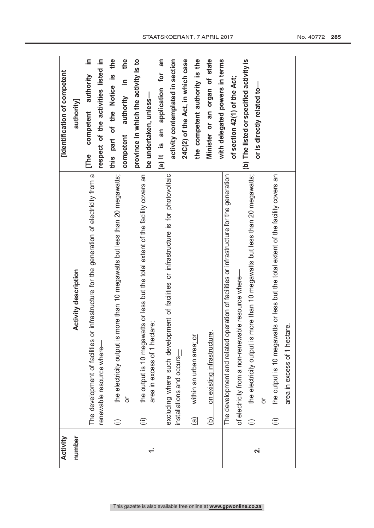| Activity                |                                                                                                                   | [Identification of competent               |
|-------------------------|-------------------------------------------------------------------------------------------------------------------|--------------------------------------------|
| number                  | <b>Activity description</b>                                                                                       | authority]                                 |
|                         | or infrastructure for the generation of electricity from a<br>The development of facilities                       | 르.<br>authority<br>competent<br><b>The</b> |
|                         | renewable resource where-                                                                                         | respect of the activities listed in        |
|                         | the electricity output is more than 10 megawatts but less than 20 megawatts;<br>⊜                                 | the<br>this part of the Notice is          |
|                         | ð                                                                                                                 | the<br><u>⊇.</u><br>authority<br>competent |
|                         | the output is 10 megawatts or less but the total extent of the facility covers an<br>⊜                            | province in which the activity is to       |
|                         | area in excess of 1 hectare;                                                                                      | be undertaken, unless-                     |
|                         |                                                                                                                   | an<br>(a) It is an application for         |
|                         | excluding where such development of facilities or infrastructure is for photovoltaic<br>installations and occurs- | activity contemplated in section           |
|                         |                                                                                                                   | 24C(2) of the Act, in which case           |
|                         | within an urban area; or<br>$\widehat{\mathbb{G}}$                                                                | the competent authority is the             |
|                         | on existing infrastructure.<br>ව                                                                                  | Minister or an organ of state              |
|                         |                                                                                                                   | with delegated powers in terms             |
|                         | operation of facilities or infrastructure for the generation<br>The development and related                       |                                            |
|                         | of electricity from a non-renewable resource where-                                                               | of section 42(1) of the Act;               |
| $\overline{\mathbf{v}}$ | the electricity output is more than 10 megawatts but less than 20 megawatts;<br>$\widehat{\equiv}$                | (b) The listed or specified activity is    |
|                         | ŏ                                                                                                                 | or is directly related to-                 |
|                         | the output is 10 megawatts or less but the total extent of the facility covers an<br>$\widehat{=}$                |                                            |
|                         | area in excess of 1 hectare.                                                                                      |                                            |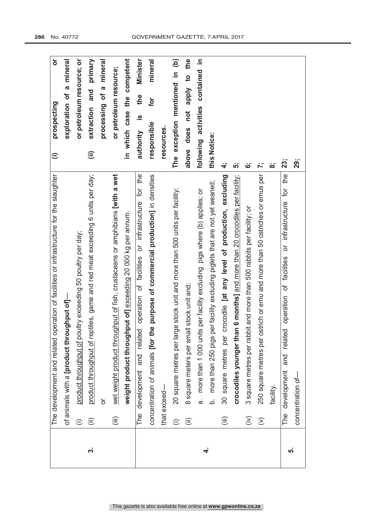|     | operation of facilities or infrastructure for the slaughter<br>The development and related          | $\overline{\sigma}$<br>prospecting<br>$\widehat{=}$ |
|-----|-----------------------------------------------------------------------------------------------------|-----------------------------------------------------|
|     | of animals with a [product throughput of]-                                                          | exploration of a mineral                            |
|     | product throughput of poultry exceeding 50 poultry per day;<br>$\oplus$                             | or petroleum resource; or                           |
| က်  | product throughput of reptiles, game and red meat exceeding 6 units per day;<br>⊜                   | primary<br>and<br>extraction<br>(iii)               |
|     | ŏ                                                                                                   | a mineral<br>processing of                          |
|     | wet weight product throughput of fish, crustaceans or amphibians [with a wet<br>(iii)               | or petroleum resource;                              |
|     | weight product throughput of] exceeding 20 000 kg per annum.                                        | in which case the competent                         |
|     | development and related operation of facilities or infrastructure for the<br>The                    | <b>Minister</b><br>the<br><u>ഗ</u><br>authority     |
|     | the purpose of commercial production] in densities<br>concentration of animals [for                 | mineral<br>for<br>responsible                       |
|     | that exceed-                                                                                        | resources.                                          |
|     | 20 square metres per large stock unit and more than 500 units per facility;<br>⊜                    | The exception mentioned in (b)                      |
|     | 8 square meters per small stock unit and;<br>$\widehat{=}$                                          | above does not apply to the                         |
| 4   | more than 1 000 units per facility excluding pigs where (b) applies; or<br>.<br>დ                   | activities contained in<br>following                |
|     | per facility excluding piglets that are not yet weaned;<br>more than 250 pigs<br>.<br>ف             | this Notice:                                        |
|     | crocodile [at any level of production, excluding<br>square metres per<br>30<br>這                    | 4,                                                  |
|     | crocodiles younger than 6 months] and more than 20 crocodiles per facility;                         | <u>່ທົ່</u>                                         |
|     | 3 square metres per rabbit and more than 500 rabbits per facility; or<br>$\left(\frac{1}{2}\right)$ |                                                     |
|     | 250 square metres per ostrich or emu and more than 50 ostriches or emus per<br>$\widehat{\geq}$     | ŀ.                                                  |
|     | facility.                                                                                           | $\dot{\infty}$                                      |
| ယုံ | the<br>or infrastructure for<br>operation of facilities<br>related<br>and<br>development<br>The     | 23;                                                 |
|     | concentration of-                                                                                   | 29;                                                 |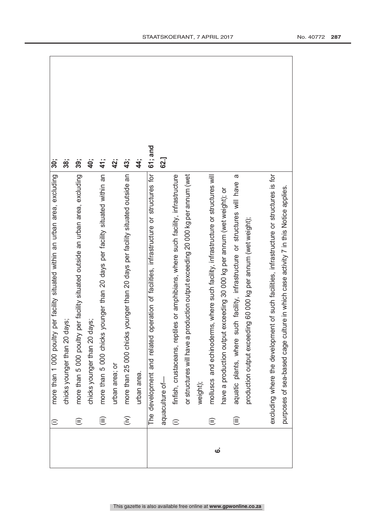|                    | $\oplus$         | more than 1 000 poultry per facility situated within an urban area, excluding              | 30;        |
|--------------------|------------------|--------------------------------------------------------------------------------------------|------------|
|                    |                  | chicks younger than 20 days;                                                               | 38;        |
|                    | $\widehat{=}$    | more than 5 000 poultry per facility situated outside an urban area, excluding             | 39;        |
|                    |                  | days;<br>chicks younger than 20                                                            | 40;        |
|                    | (iii)            | more than 5 000 chicks younger than 20 days per facility situated within an                | 41;        |
|                    |                  | urban area; or                                                                             | 42;        |
|                    | $\widehat{\geq}$ | more than 25 000 chicks younger than 20 days per facility situated outside an              | 43;        |
|                    |                  | urban area.                                                                                | $\ddot{4}$ |
|                    |                  | The development and related operation of facilities, infrastructure or structures for      | 61; and    |
|                    |                  | aquaculture of-                                                                            | 62.]       |
|                    | $\widehat{=}$    | finfish, crustaceans, reptiles or amphibians, where such facility, infrastructure          |            |
|                    |                  | or structures will have a production output exceeding 20 000 kg per annum (wet             |            |
|                    |                  | weight);                                                                                   |            |
| $\dot{\mathbf{c}}$ | $\widehat{=}$    | molluscs and echinoderms, where such facility, infrastructure or structures will           |            |
|                    |                  | have a production output exceeding 30 000 kg per annum (wet weight); or                    |            |
|                    | (iii)            | $\sigma$<br>such facility, infrastructure or structures will have<br>aquatic plants, where |            |
|                    |                  | production output exceeding 60 000 kg per annum (wet weight);                              |            |
|                    |                  |                                                                                            |            |
|                    |                  | excluding where the development of such facilities, infrastructure or structures is for    |            |
|                    |                  | culture in which case activity 7 in this Notice applies.<br>purposes of sea-based cage     |            |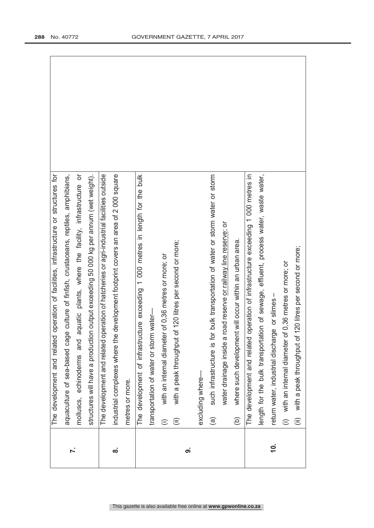|          | The development and related operation of facilities, infrastructure or structures for            |
|----------|--------------------------------------------------------------------------------------------------|
| Ϋ́.      | aquaculture of sea-based cage culture of finfish, crustaceans, reptiles, amphibians,             |
|          | aquatic plants, where the facility, infrastructure or<br>molluscs, echinoderms and               |
|          | structures will have a production output exceeding 50 000 kg per annum (wet weight).             |
|          | The development and related operation of hatcheries or agri-industrial facilities outside        |
| ထံ       | industrial complexes where the development footprint covers an area of 2 000 square              |
|          | metres or more.                                                                                  |
|          | The development of infrastructure exceeding 1 000 metres in length for the bulk                  |
|          | transportation of water or storm water-                                                          |
|          | with an internal diameter of 0,36 metres or more; or<br>⊜                                        |
|          | with a peak throughput of 120 litres per second or more;<br>⊜                                    |
| တ        |                                                                                                  |
|          | excluding where-                                                                                 |
|          | such infrastructure is for bulk transportation of water or storm water or storm<br>$\widehat{a}$ |
|          | water drainage inside a road reserve or railway line reserve; or                                 |
|          | where such development will occur within an urban area.<br>$\widehat{e}$                         |
|          | operation of infrastructure exceeding 1 000 metres in<br>The development and related             |
|          | length for the bulk transportation of sewage, effluent, process water, waste water,              |
| <u>ģ</u> | return water, industrial discharge or slimes -                                                   |
|          | (i) with an internal diameter of 0,36 metres or more; or                                         |
|          | 120 litres per second or more;<br>with a peak throughput of<br>$\widehat{\equiv}$                |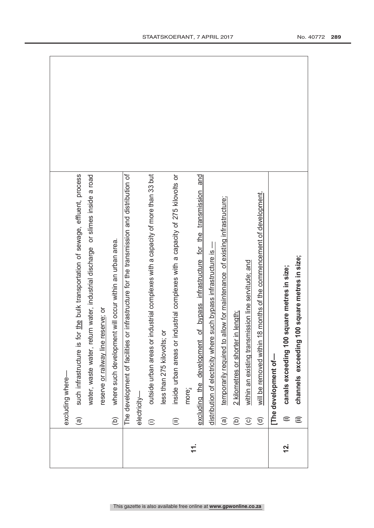|           |                        | excluding where-                                                                         |
|-----------|------------------------|------------------------------------------------------------------------------------------|
|           | $\widehat{\mathbf{e}}$ | such infrastructure is for the bulk transportation of sewage, effluent, process          |
|           |                        | water, waste water, return water, industrial discharge or slimes inside a road           |
|           |                        | reserve or railway line reserve; or                                                      |
|           | (a)                    | where such development will occur within an urban area.                                  |
|           |                        | The development of facilities or infrastructure for the transmission and distribution of |
|           | electricity-           |                                                                                          |
|           | $\widehat{=}$          | outside urban areas or industrial complexes with a capacity of more than 33 but          |
|           |                        | ៦<br>less than 275 kilovolts;                                                            |
|           | $\widehat{\equiv}$     | inside urban areas or industrial complexes with a capacity of 275 kilovolts or           |
| <u>11</u> |                        | more;                                                                                    |
|           |                        | and<br>of bypass infrastructure for the transmission<br>excluding the development        |
|           |                        | such bypass infrastructure is -<br>distribution of electricity where                     |
|           | $\widehat{\mathbf{e}}$ | temporarily required to allow for maintenance of existing infrastructure;                |
|           | $\widehat{\infty}$     | 2 kilometres or shorter in length;                                                       |
|           | $\widehat{\circ}$      | within an existing transmission line servitude; and                                      |
|           | $\widehat{\mathsf{e}}$ | 8 months of the commencement of development.<br>will be removed within 1                 |
|           |                        | The development of-                                                                      |
| <u>ri</u> | $\widehat{=}$          | square metres in size;<br>canals exceeding 100                                           |
|           | ⊜                      | 00 square metres in size;<br>channels exceeding                                          |
|           |                        |                                                                                          |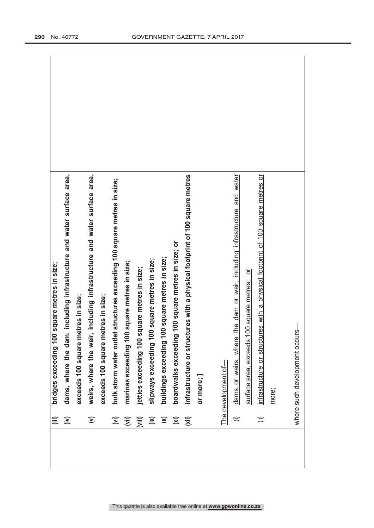| 這                               | square metres in size;<br>bridges exceeding 100                                |
|---------------------------------|--------------------------------------------------------------------------------|
| $\widetilde{\epsilon}$          | dams, where the dam, including infrastructure and water surface area,          |
|                                 | exceeds 100 square metres in size;                                             |
| $\mathbf{S}$                    | weirs, where the weir, including infrastructure and water surface area,        |
|                                 | exceeds 100 square metres in size;                                             |
| $\widehat{\boldsymbol{\Sigma}}$ | bulk storm water outlet structures exceeding 100 square metres in size;        |
| $\widehat{\mathbb{E}}$          | marinas exceeding 100 square metres in size;                                   |
| (iii)                           | square metres in size;<br>jetties exceeding 100                                |
| $\widetilde{a}$                 | slipways exceeding 100 square metres in size;                                  |
| $\mathbf{\widehat{x}}$          | 00 square metres in size;<br>buildings exceeding 1                             |
| $\overline{\mathbf{z}}$         | 100 square metres in size; or<br>boardwalks exceeding                          |
| $\overline{\mathsf{x}}$         | infrastructure or structures with a physical footprint of 100 square metres    |
|                                 | or more; ]                                                                     |
|                                 |                                                                                |
|                                 | The development of-                                                            |
| $\widehat{=}$                   | the dam or weir, including infrastructure and water<br>dams or weirs, where    |
|                                 | 100 square metres; or<br>surface area, exceeds                                 |
| $\widehat{\equiv}$              | infrastructure or structures with a physical footprint of 100 square metres or |
|                                 | more;                                                                          |
|                                 |                                                                                |
|                                 | ပ္ပ်<br>where such development occu                                            |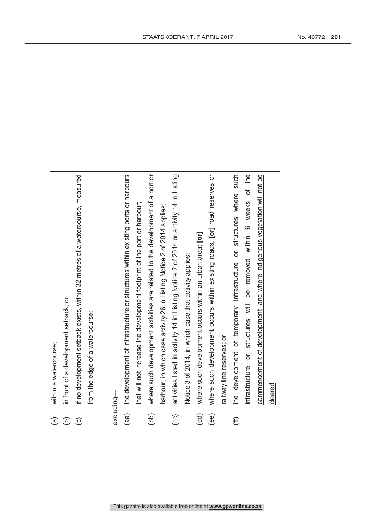| $\widehat{a}$                                       | within a watercourse;                                                                  |  |
|-----------------------------------------------------|----------------------------------------------------------------------------------------|--|
| $\widehat{\mathsf{e}}$                              | in front of a development setback; or                                                  |  |
| $\widehat{\circ}$                                   | if no development setback exists, within 32 metres of a watercourse, measured          |  |
|                                                     | from the edge of a watercourse; -                                                      |  |
|                                                     |                                                                                        |  |
|                                                     | excluding-                                                                             |  |
| (aa)                                                | the development of infrastructure or structures within existing ports or harbours      |  |
|                                                     | that will not increase the development footprint of the port or harbour;               |  |
| $\overline{10}$                                     | where such development activities are related to the development of a port or          |  |
|                                                     | harbour, in which case activity 26 in Listing Notice 2 of 2014 applies;                |  |
| $\left( \begin{matrix} 0 \\ 0 \end{matrix} \right)$ | activities listed in activity 14 in Listing Notice 2 of 2014 or activity 14 in Listing |  |
|                                                     | Notice 3 of 2014, in which case that activity applies;                                 |  |
| $\widehat{\mathsf{d}}$                              | where such development occurs within an urban area; [or]                               |  |
| $\widehat{e}$                                       | where such development occurs within existing roads. [or] road reserves or             |  |
|                                                     | railway line reserves; or                                                              |  |
| $\widehat{\mathfrak{m}}$                            | temporary infrastructure or structures where such<br>the development of                |  |
|                                                     | infrastructure or structures will be removed within 6 weeks of the                     |  |
|                                                     | commencement of development and where indigenous vegetation will not be                |  |
|                                                     | cleared                                                                                |  |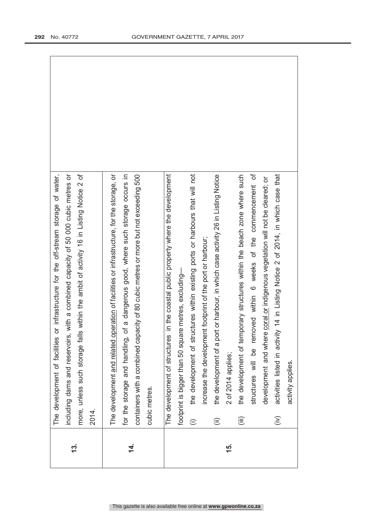|                |                        | or infrastructure for the off-stream storage of water,<br>The development of facilities    |
|----------------|------------------------|--------------------------------------------------------------------------------------------|
| 13.            |                        | including dams and reservoirs, with a combined capacity of 50 000 cubic metres or          |
|                |                        | Is within the ambit of activity 16 in Listing Notice 2 of<br>more, unless such storage fal |
|                | 2014.                  |                                                                                            |
|                |                        | The development and related operation of facilities or infrastructure, for the storage, or |
| $\overline{4}$ |                        | for the storage and handling, of a dangerous good, where such storage occurs in            |
|                |                        | containers with a combined capacity of 80 cubic metres or more but not exceeding 500       |
|                |                        | cubic metres.                                                                              |
|                |                        | in the coastal public property where the development<br>The development of structures      |
|                |                        | footprint is bigger than 50 square metres, excluding-                                      |
|                | $\widehat{=}$          | the development of structures within existing ports or harbours that will not              |
|                |                        | increase the development footprint of the port or harbour;                                 |
|                | $\widehat{\mathbf{U}}$ | the development of a port or harbour, in which case activity 26 in Listing Notice          |
| 15.            |                        | 2 of 2014 applies;                                                                         |
|                | (iii)                  | the development of temporary structures within the beach zone where such                   |
|                |                        | structures will be removed within 6 weeks of the commencement of                           |
|                |                        | development and where coral or indigenous vegetation will not be cleared; or               |
|                | $\widehat{\geq}$       | activities listed in activity 14 in Listing Notice 2 of 2014, in which case that           |
|                |                        | activity applies.                                                                          |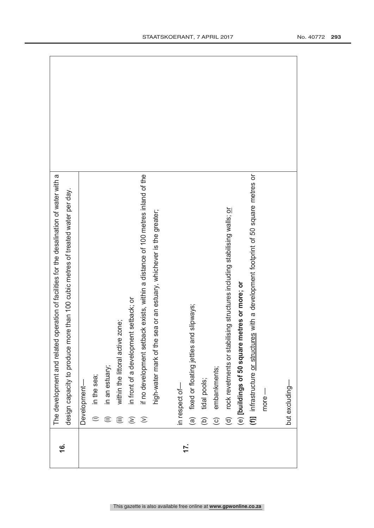|          | operation of facilities for the desalination of water with a<br>The development and related     |
|----------|-------------------------------------------------------------------------------------------------|
| <u>ي</u> |                                                                                                 |
|          | design capacity to produce more than 100 cubic metres of treated water per day.                 |
|          | Development-                                                                                    |
|          | in the sea;<br>$\oplus$                                                                         |
|          | in an estuary;<br>⊜                                                                             |
|          | zone;<br>within the littoral active<br>這                                                        |
|          | in front of a development setback; or<br>$\widehat{\in}$                                        |
|          | if no development setback exists, within a distance of 100 metres inland of the<br>$\odot$      |
|          | sea or an estuary, whichever is the greater;<br>high-water mark of the                          |
|          | in respect of-                                                                                  |
| 17.      | (a) fixed or floating jetties and slipways;                                                     |
|          | tidal pools;<br>$\widehat{e}$                                                                   |
|          | embankments;<br>$\odot$                                                                         |
|          | rock revetments or stabilising structures including stabilising walls; or<br>$\widehat{\sigma}$ |
|          | (e) [buildings of 50 square metres or more; or                                                  |
|          | (f)] infrastructure or structures with a development footprint of 50 square metres or           |
|          | $more -$                                                                                        |
|          |                                                                                                 |
|          | but excluding-                                                                                  |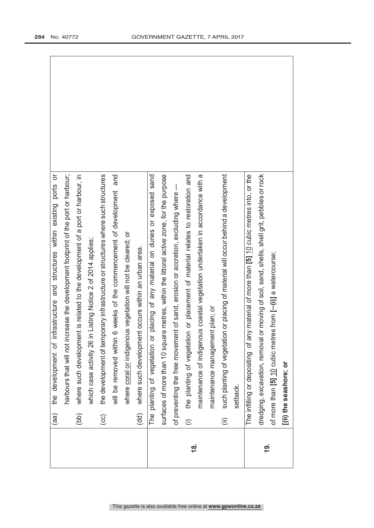|            | (aa)               | the development of infrastructure and structures within existing ports or                   |
|------------|--------------------|---------------------------------------------------------------------------------------------|
|            |                    | harbours that will not increase the development footprint of the port or harbour;           |
|            | (bb)               | where such development is related to the development of a port or harbour, in               |
|            |                    | which case activity 26 in Listing Notice 2 of 2014 applies;                                 |
|            | $\odot$            | the development of temporary infrastructure or structures where such structures             |
|            |                    | and<br>6 weeks of the commencement of development<br>will be removed within                 |
|            |                    | where coral or indigenous vegetation will not be cleared; or                                |
|            | (dd)               | where such development occurs within an urban area.                                         |
|            |                    | placing of any material on dunes or exposed sand<br>The planting of vegetation or           |
|            |                    | surfaces of more than 10 square metres, within the littoral active zone, for the purpose    |
|            |                    | of preventing the free movement of sand, erosion or accretion, excluding where              |
| <u>18.</u> | $\oplus$           | the planting of vegetation or placement of material relates to restoration and              |
|            |                    | maintenance of indigenous coastal vegetation undertaken in accordance with a                |
|            |                    | maintenance management plan; or                                                             |
|            | $\widehat{\equiv}$ | such planting of vegetation or placing of material will occur behind a development          |
|            |                    | setback.                                                                                    |
|            |                    | The infilling or depositing of any material of more than $[5]$ 10 cubic metres into, or the |
| <u>ද</u>   |                    | dredging, excavation, removal or moving of soil, sand, shells, shell grit, pebbles or rock  |
|            |                    | of more than [5] $10$ cubic metres from $[-(i)]$ a watercourse;                             |
|            |                    | [(ii) the seashore; or                                                                      |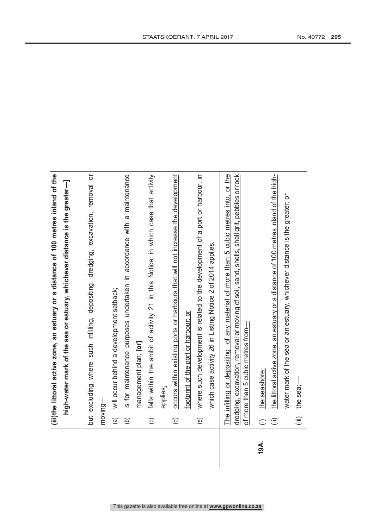|      | (iii)the littoral active zone, an estuary or a distance of 100 metres inland of the                                                                                                      |  |
|------|------------------------------------------------------------------------------------------------------------------------------------------------------------------------------------------|--|
|      | ea or estuary, whichever distance is the greater-<br>high-water mark of the so                                                                                                           |  |
|      |                                                                                                                                                                                          |  |
|      | but excluding where such infilling, depositing, dredging, excavation, removal or                                                                                                         |  |
|      | moving-                                                                                                                                                                                  |  |
|      | will occur behind a development setback;<br>$\widehat{\mathbf{e}}$                                                                                                                       |  |
|      | is for maintenance purposes undertaken in accordance with a maintenance<br>$\widehat{e}$                                                                                                 |  |
|      | management plan; [or]                                                                                                                                                                    |  |
|      | activity 21 in this Notice, in which case that activity<br>falls within the ambit of<br>$\odot$                                                                                          |  |
|      | applies;                                                                                                                                                                                 |  |
|      | occurs within existing ports or harbours that will not increase the development<br>$\widehat{\sigma}$                                                                                    |  |
|      | footprint of the port or harbour; or                                                                                                                                                     |  |
|      | where such development is related to the development of a port or harbour, in<br>$\circlede$                                                                                             |  |
|      | which case activity 26 in Listing Notice 2 of 2014 applies.                                                                                                                              |  |
|      | any material of more than 5 cubic metres into, or the<br>or moving of soil, sand, shells, shell grit, pebbles or rock<br>The infilling or depositing of<br>dredging, excavation, removal |  |
|      | $\frac{1}{5}$<br>of more than 5 cubic metres fr                                                                                                                                          |  |
| 19A. | the seashore;<br>$\oplus$                                                                                                                                                                |  |
|      | the littoral active zone, an estuary or a distance of 100 metres inland of the high-<br>$\widehat{\equiv}$                                                                               |  |
|      | water mark of the sea or an estuary, whichever distance is the greater; or                                                                                                               |  |
|      | the sea; $-$<br>$\widehat{\equiv}$                                                                                                                                                       |  |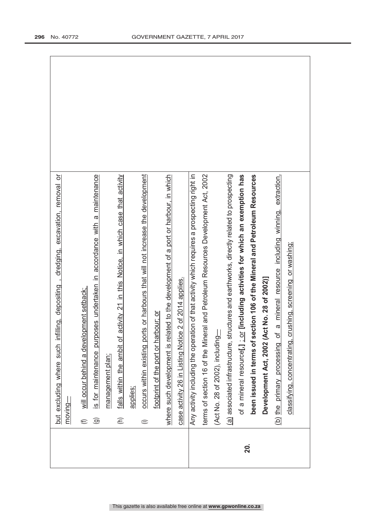|     | but excluding where such infilling, depositing, dredging, excavation, removal or                        |
|-----|---------------------------------------------------------------------------------------------------------|
|     | moving-                                                                                                 |
|     | will occur behind a development setback;<br>$\bigoplus$                                                 |
|     | is for maintenance purposes undertaken in accordance with a maintenance<br>$\widehat{\mathbf{e}}$       |
|     | management plan;                                                                                        |
|     | activity 21 in this Notice, in which case that activity<br>falls within the ambit of<br>$\widehat{\in}$ |
|     | applies;                                                                                                |
|     | occurs within existing ports or harbours that will not increase the development<br>$\widehat{=}$        |
|     | footprint of the port or harbour; or                                                                    |
|     | where such development is related to the development of a port or harbour, in which                     |
|     | case activity 26 in Listing Notice 2 of 2014 applies.                                                   |
|     | Any activity including the operation of that activity which requires a prospecting right in             |
|     | terms of section 16 of the Mineral and Petroleum Resources Development Act, 2002                        |
|     | (Act No. 28 of 2002), including                                                                         |
|     | (a) associated infrastructure, structures and earthworks, directly related to prospecting               |
| 20. | of a mineral resource[,] : or [including activities for which an exemption has                          |
|     | been issued in terms of section 106 of the Mineral and Petroleum Resources                              |
|     | Development Act, 2002 (Act No. 28 of 2002)]                                                             |
|     | a mineral resource including winning, extraction,<br>(b) the primary processing of                      |
|     | classifying, concentrating, crushing, screening or washing;                                             |
|     |                                                                                                         |
|     |                                                                                                         |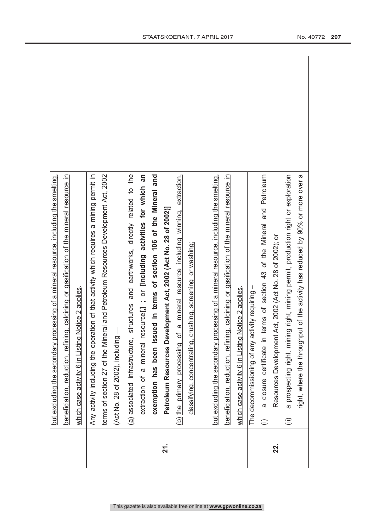|     | but excluding the secondary processing of a mineral resource, including the smelting,                   |
|-----|---------------------------------------------------------------------------------------------------------|
|     | beneficiation, reduction, refining, calcining or gasification of the mineral resource in                |
|     | which case activity 6 in Listing Notice 2 applies                                                       |
|     | Any activity including the operation of that activity which requires a mining permit in                 |
|     | terms of section 27 of the Mineral and Petroleum Resources Development Act, 2002                        |
|     | (Act No. 28 of 2002), including                                                                         |
|     | structures and earthworks, directly related to the<br>(a) associated infrastructure,                    |
|     | an<br>extraction of a mineral resource[,] : or lincluding activities for which                          |
|     | exemption has been issued in terms of section 106 of the Mineral and                                    |
| 21. | Petroleum Resources Development Act, 2002 (Act No. 28 of 2002)]                                         |
|     | a mineral resource including winning, extraction,<br>(b) the primary processing of                      |
|     | classifying, concentrating, crushing, screening or washing;                                             |
|     |                                                                                                         |
|     | but excluding the secondary processing of a mineral resource, including the smelting,                   |
|     | beneficiation, reduction, refining, calcining or gasification of the mineral resource in                |
|     | Notice 2 applies.<br>which case activity 6 in Listing                                                   |
|     | The decommissioning of any activity requiring -                                                         |
|     | terms of section 43 of the Mineral and Petroleum<br>a closure certificate in<br>$\widehat{=}$           |
| 22. | Act, 2002 (Act No. 28 of 2002); or<br>Resources Development                                             |
|     | a prospecting right, mining right, mining permit, production right or exploration<br>$\widehat{\equiv}$ |
|     | right, where the throughput of the activity has reduced by 90% or more over a                           |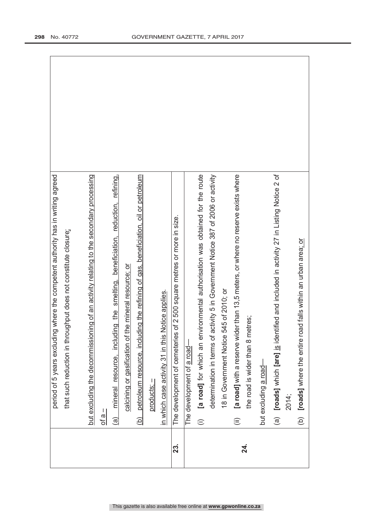|     | period of 5 years excluding where the competent authority has in writing agreed                        |
|-----|--------------------------------------------------------------------------------------------------------|
|     | that such reduction in throughput does not constitute closure;                                         |
|     |                                                                                                        |
|     | but excluding the decommissioning of an activity relating to the secondary processing                  |
|     | $\frac{a}{a}$                                                                                          |
|     | mineral resource, including the smelting, beneficiation, reduction, refining,<br>$\widehat{a}$         |
|     | calcining or gasification of the mineral resource; or                                                  |
|     | petroleum resource, including the refining of gas, beneficiation, oil or petroleum<br>$\overline{a}$   |
|     | products; –                                                                                            |
|     | in which case activity 31 in this Notice applies.                                                      |
| 23. | The development of cemeteries of 2 500 square metres or more in size.                                  |
|     | The development of a road-                                                                             |
|     | [a road] for which an environmental authorisation was obtained for the route<br>$\widehat{=}$          |
|     | activity 5 in Government Notice 387 of 2006 or activity<br>determination in terms of                   |
|     | 545 of 2010; or<br>18 in Government Notice                                                             |
|     | [a road] with a reserve wider than 13,5 meters, or where no reserve exists where<br>$\widehat{\equiv}$ |
| 24. | the road is wider than 8 metres;                                                                       |
|     | but excluding a road-                                                                                  |
|     | (a) [roads] which [are] is identified and included in activity 27 in Listing Notice 2 of               |
|     | 2014;                                                                                                  |
|     | (b) [roads] where the entire road falls within an urban area; or                                       |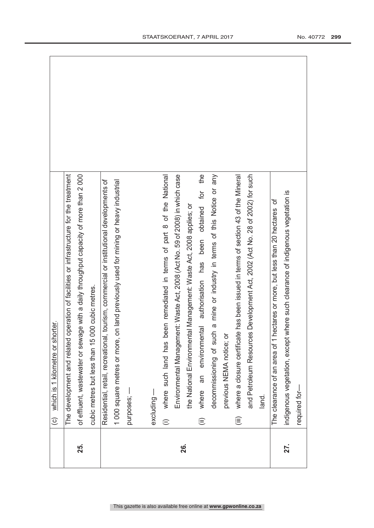|     | (c) which is 1 kilometre or shorter.                                                                    |
|-----|---------------------------------------------------------------------------------------------------------|
|     | operation of facilities or infrastructure for the treatment<br>The development and related              |
| 25. | ge with a daily throughput capacity of more than 2000<br>of effluent, wastewater or sewa                |
|     | cubic metres but less than 15 000 cubic metres.                                                         |
|     | Residential, retail, recreational, tourism, commercial or institutional developments of                 |
|     | on land previously used for mining or heavy industrial<br>1000 square metres or more,                   |
|     | purposes; -                                                                                             |
|     | excluding-                                                                                              |
|     |                                                                                                         |
|     | where such land has been remediated in terms of part 8 of the National<br>$\oplus$                      |
|     | Environmental Management: Waste Act, 2008 (Act No. 59 of 2008) in which case                            |
| 26. | tal Management: Waste Act, 2008 applies; or<br>the National Environment                                 |
|     | the<br>authorisation has been obtained for<br>an environmental<br>where<br>$\widehat{\mathbb{E}}$       |
|     | decommissioning of such a mine or industry in terms of this Notice or any                               |
|     | previous NEMA notice; or                                                                                |
|     | where a closure certificate has been issued in terms of section 43 of the Mineral<br>$\widehat{\equiv}$ |
|     | and Petroleum Resources Development Act, 2002 (Act No. 28 of 2002) for such                             |
|     | land.                                                                                                   |
|     | The clearance of an area of 1 hectares or more, but less than 20 hectares of                            |
| 27. | indigenous vegetation, except where such clearance of indigenous vegetation is                          |
|     | required for-                                                                                           |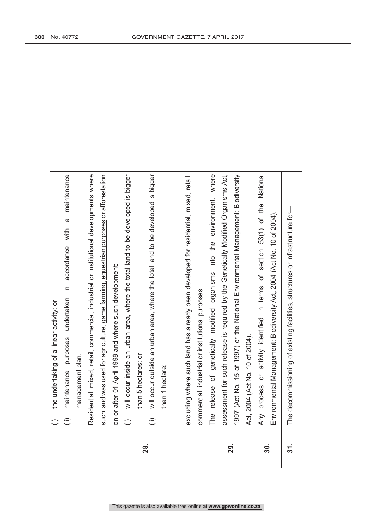|     | the undertaking of a linear activity; or<br>$\oplus$                                                        |
|-----|-------------------------------------------------------------------------------------------------------------|
|     | a maintenance<br>accordance with<br>$\equiv$<br>undertaken<br>purposes<br>maintenance<br>$\widehat{\equiv}$ |
|     | management plan.                                                                                            |
|     | Residential, mixed, retail, commercial, industrial or institutional developments where                      |
|     | such land was used for agriculture, game farming, equestrian purposes or afforestation                      |
|     | on or after 01 April 1998 and where such development:                                                       |
|     | will occur inside an urban area, where the total land to be developed is bigger<br>$\oplus$                 |
| 28. | than 5 hectares; or                                                                                         |
|     | will occur outside an urban area, where the total land to be developed is bigger<br>$\widehat{\equiv}$      |
|     | than 1 hectare;                                                                                             |
|     |                                                                                                             |
|     | excluding where such land has already been developed for residential, mixed, retail,                        |
|     | commercial, industrial or institutional purposes.                                                           |
|     | modified organisms into the environment, where<br>The release of genetically                                |
|     | is required by the Genetically Modified Organisms Act,<br>assessment for such release                       |
| 29. | the National Environmental Management: Biodiversity<br>1997 (Act No. 15 of 1997) or                         |
|     | Act, 2004 (Act No. 10 of 2004)                                                                              |
| 30. | National<br>section 53(1) of the<br>or activity identified in terms of<br>Any process                       |
|     | Environmental Management: Biodiversity Act, 2004 (Act No. 10 of 2004).                                      |
| 31. | The decommissioning of existing facilities, structures or infrastructure for-                               |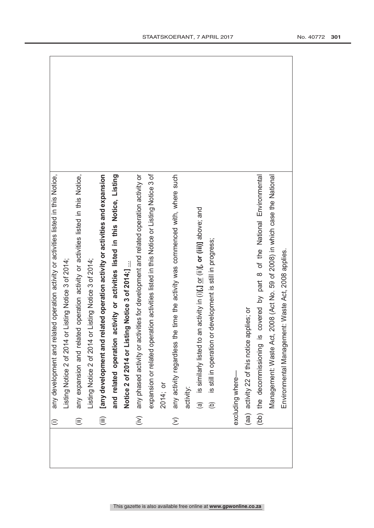| $\oplus$               | any development and related operation activity or activities listed in this Notice,    |  |
|------------------------|----------------------------------------------------------------------------------------|--|
|                        | Listing Notice 2 of 2014 or Listing Notice 3 of 2014;                                  |  |
| $\widehat{\mathbb{E}}$ | any expansion and related operation activity or activities listed in this Notice,      |  |
|                        | Listing Notice 2 of 2014 or Listing Notice 3 of 2014;                                  |  |
| $\widehat{\mathbb{I}}$ | elated operation activity or activities and expansion<br>[any development and r        |  |
|                        | activity or activities listed in this Notice, Listing<br>and related operation         |  |
|                        | Notice 2 of 2014 or Listing Notice 3 of 2014;]                                         |  |
| $\sum_{i=1}^{n}$       | any phased activity or activities for development and related operation activity or    |  |
|                        | expansion or related operation activities listed in this Notice or Listing Notice 3 of |  |
|                        | 2014; or                                                                               |  |
| $\widehat{\geq}$       | any activity regardless the time the activity was commenced with, where such           |  |
|                        | activity:                                                                              |  |
|                        | (a) is similarly listed to an activity in (i)[,] or (iii)], or (iii)] above; and       |  |
|                        | is still in operation or development is still in progress;<br>$\widehat{e}$            |  |
|                        |                                                                                        |  |
|                        | excluding where-                                                                       |  |
|                        | (aa) activity 22 of this notice applies; or                                            |  |
|                        | covered by part 8 of the National Environmental<br>(bb) the decommissioning is         |  |
|                        | Management: Waste Act, 2008 (Act No. 59 of 2008) in which case the National            |  |
|                        | ent: Waste Act, 2008 applies.<br>Environmental Managem                                 |  |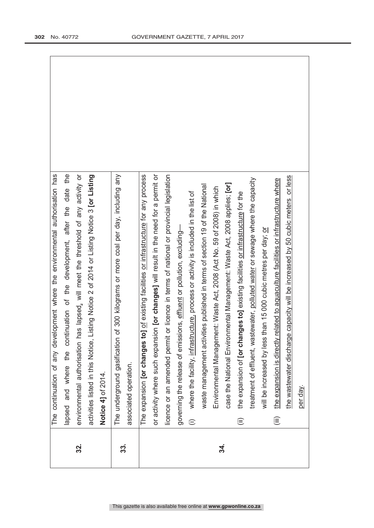|            |                            | The continuation of any development where the environmental authorisation has              |
|------------|----------------------------|--------------------------------------------------------------------------------------------|
|            |                            | date the<br>lapsed and where the continuation of the development, after the                |
| 32.        |                            | environmental authorisation has lapsed, will meet the threshold of any activity or         |
|            |                            | activities listed in this Notice, Listing Notice 2 of 2014 or Listing Notice 3 [or Listing |
|            |                            | Notice 4] of 2014.                                                                         |
| <u>ကွဲ</u> |                            | of 300 kilograms or more coal per day, including any<br>The underground gasification       |
|            |                            | associated operation.                                                                      |
|            |                            | The expansion [or changes to] of existing facilities or infrastructure for any process     |
|            |                            | or activity where such expansion [or changes] will result in the need for a permit or      |
|            |                            | licence or an amended permit or licence in terms of national or provincial legislation     |
|            |                            | governing the release of emissions, effluent or pollution, excluding-                      |
|            | $\widehat{=}$              | where the facility, infrastructure, process or activity is included in the list of         |
|            |                            | waste management activities published in terms of section 19 of the National               |
| 34.        |                            | Environmental Management: Waste Act, 2008 (Act No. 59 of 2008) in which                    |
|            |                            | case the National Environmental Management: Waste Act, 2008 applies; [or]                  |
|            | $\widehat{=}$              | the expansion of [or changes to] existing facilities or infrastructure for the             |
|            |                            | treatment of effluent, wastewater, polluted water or sewage where the capacity             |
|            |                            | than 15 000 cubic metres per day; or<br>will be increased by less                          |
|            | $\widehat{(\mathsf{iii})}$ | the expansion is directly related to aquaculture facilities or infrastructure where        |
|            |                            | the wastewater discharge capacity will be increased by 50 cubic meters or less             |
|            |                            | per day.                                                                                   |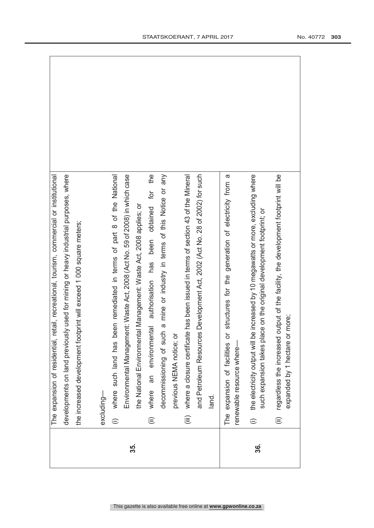|     |                        | retail, recreational, tourism, commercial or institutional<br>The expansion of residential,                                                               |  |
|-----|------------------------|-----------------------------------------------------------------------------------------------------------------------------------------------------------|--|
|     |                        | developments on land previously used for mining or heavy industrial purposes, where                                                                       |  |
|     |                        | the increased development footprint will exceed 1 000 square meters;                                                                                      |  |
|     |                        |                                                                                                                                                           |  |
|     | excluding-             |                                                                                                                                                           |  |
|     | $\oplus$               | been remediated in terms of part 8 of the National<br>where such land has                                                                                 |  |
| 35. |                        | Environmental Management: Waste Act, 2008 (Act No. 59 of 2008) in which case                                                                              |  |
|     |                        | the National Environmental Management: Waste Act, 2008 applies; or                                                                                        |  |
|     | $\widehat{\equiv}$     | the<br>where an environmental authorisation has been obtained for                                                                                         |  |
|     |                        | decommissioning of such a mine or industry in terms of this Notice or any                                                                                 |  |
|     |                        | previous NEMA notice; or                                                                                                                                  |  |
|     | $\widehat{\mathbb{H}}$ | where a closure certificate has been issued in terms of section 43 of the Mineral                                                                         |  |
|     |                        | and Petroleum Resources Development Act, 2002 (Act No. 28 of 2002) for such                                                                               |  |
|     | land.                  |                                                                                                                                                           |  |
|     |                        | The expansion of facilities or structures for the generation of electricity from a<br>renewable resource where-                                           |  |
| 36. | $\widehat{=}$          | the electricity output will be increased by 10 megawatts or more, excluding where<br>such expansion takes place on the original development footprint; or |  |
|     | $\widehat{\equiv}$     | output of the facility, the development footprint will be<br>expanded by 1 hectare or more;<br>regardless the increased                                   |  |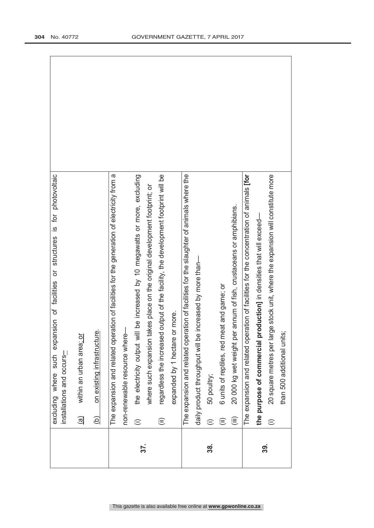|     | excluding where such expansion of facilities or structures is for photovoltaic<br>installations and occurs- |
|-----|-------------------------------------------------------------------------------------------------------------|
|     | within an urban area; or<br>$\widehat{\mathbf{e}}$                                                          |
|     | on existing infrastructure.<br>$\overline{a}$                                                               |
|     | The expansion and related operation of facilities for the generation of electricity from a                  |
|     | non-renewable resource where-                                                                               |
| 37. | the electricity output will be increased by 10 megawatts or more, excluding<br>$\widehat{\cdot}$            |
|     | where such expansion takes place on the original development footprint; or                                  |
|     | regardless the increased output of the facility, the development footprint will be<br>$\widehat{\equiv}$    |
|     | or more.<br>expanded by 1 hectare                                                                           |
|     | The expansion and related operation of facilities for the slaughter of animals where the                    |
|     | daily product throughput will be increased by more than-                                                    |
| 38. | 50 poultry;                                                                                                 |
|     | 6 units of reptiles, red meat and game; or<br>⊜                                                             |
|     | 20 000 kg wet weight per annum of fish, crustaceans or amphibians.<br>(iii)                                 |
|     | The expansion and related operation of facilities for the concentration of animals [for                     |
| အဲ့ | the purpose of commercial production] in densities that will exceed-                                        |
|     | 20 square metres per large stock unit, where the expansion will constitute more<br>$\oplus$                 |
|     | than 500 additional units;                                                                                  |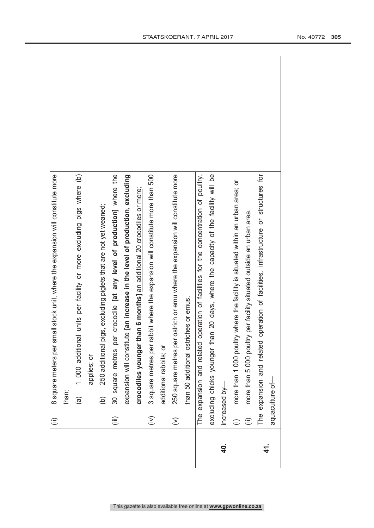|            | ⊜                    | 8 square meters per small stock unit, where the expansion will constitute more         |
|------------|----------------------|----------------------------------------------------------------------------------------|
|            |                      | than;                                                                                  |
|            |                      | 1 000 additional units per facility or more excluding pigs where (b)<br>$\widehat{a}$  |
|            |                      | applies; or                                                                            |
|            |                      | 250 additional pigs, excluding piglets that are not yet weaned;<br>$\widehat{e}$       |
|            | (iii)                | crocodile [at any level of production] where the<br>30 square metres per               |
|            |                      | expansion will constitute [an increase in the level of production, excluding           |
|            |                      | crocodiles younger than 6 months] an additional 20 crocodiles or more;                 |
|            | $\widehat{\epsilon}$ | 3 square metres per rabbit where the expansion will constitute more than 500           |
|            |                      | additional rabbits; or                                                                 |
|            | $\widehat{\geq}$     | ostrich or emu where the expansion will constitute more<br>250 square metres per       |
|            |                      | than 50 additional ostriches or emus.                                                  |
|            |                      | operation of facilities for the concentration of poultry,<br>The expansion and related |
|            |                      | excluding chicks younger than 20 days, where the capacity of the facility will be      |
| <b>40.</b> |                      | increased by-                                                                          |
|            | $\widehat{\cdot}$    | more than 1 000 poultry where the facility is situated within an urban area; or        |
|            | ⊜                    | more than 5 000 poultry per facility situated outside an urban area.                   |
|            |                      | operation of facilities, infrastructure or structures for<br>The expansion and related |
| <u>न्</u>  |                      | aquaculture of-                                                                        |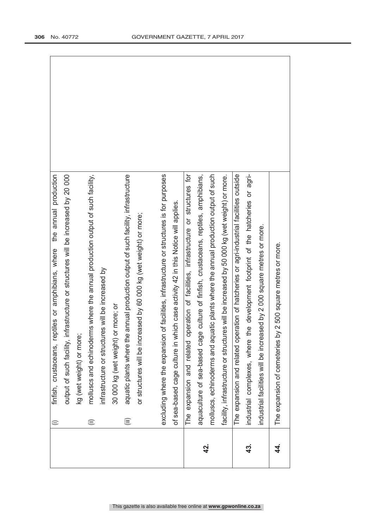|               | finfish, crustaceans, reptiles or amphibians, where the annual production<br>$\widehat{=}$  |
|---------------|---------------------------------------------------------------------------------------------|
|               | output of such facility, infrastructure or structures will be increased by 20 000           |
|               | kg (wet weight) or more;                                                                    |
|               | molluscs and echinoderms where the annual production output of such facility,<br>⊜          |
|               | infrastructure or structures will be increased by                                           |
|               | or more; or<br>30 000 kg (wet weight)                                                       |
|               | aquatic plants where the annual production output of such facility, infrastructure<br>(iii) |
|               | eased by 60 000 kg (wet weight) or more;<br>or structures will be incr                      |
|               |                                                                                             |
|               | excluding where the expansion of facilities, infrastructure or structures is for purposes   |
|               | of sea-based cage culture in which case activity 42 in this Notice will applies.            |
|               | operation of facilities, infrastructure or structures for<br>expansion and related<br>The   |
| 42.           | aquaculture of sea-based cage culture of finfish, crustaceans, reptiles, amphibians,        |
|               | molluscs, echinoderms and aquatic plants where the annual production output of such         |
|               | facility, infrastructure or structures will be increased by 50 000 kg (wet weight) or more. |
|               | The expansion and related operation of hatcheries or agri-industrial facilities outside     |
| 43.           | the development footprint of the hatcheries or agri-<br>industrial complexes, where         |
|               | industrial facilities will be increased by 2 000 square metres or more.                     |
| <u>4</u><br>4 | The expansion of cemeteries by 2 500 square metres or more.                                 |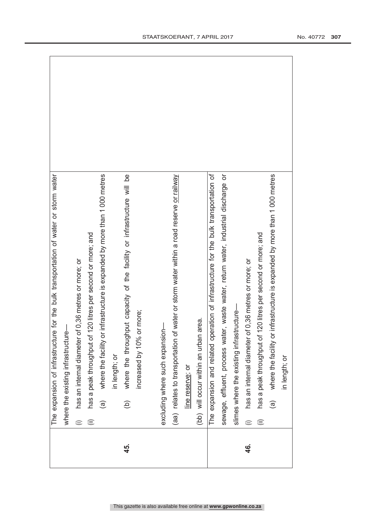|          | The expansion of infrastructure for the bulk transportation of water or storm water         |
|----------|---------------------------------------------------------------------------------------------|
|          | where the existing infrastructure-                                                          |
|          | of 0,36 metres or more; or<br>has an internal diameter<br>$\oplus$                          |
|          | has a peak throughput of 120 litres per second or more; and<br>⊜                            |
|          | where the facility or infrastructure is expanded by more than 1 000 metres<br>$\widehat{a}$ |
|          | in length; or                                                                               |
| 45.      | where the throughput capacity of the facility or infrastructure will be<br>$\widehat{e}$    |
|          | or more;<br>increased by 10%                                                                |
|          |                                                                                             |
|          | excluding where such expansion-                                                             |
|          | of water or storm water within a road reserve or railway<br>(aa) relates to transportation  |
|          | line reserve; or                                                                            |
|          | (bb) will occur within an urban area.                                                       |
|          | The expansion and related operation of infrastructure for the bulk transportation of        |
|          | sewage, effluent, process water, waste water, return water, industrial discharge or         |
|          | structure-<br>slimes where the existing infra                                               |
| <u>५</u> | of 0,36 metres or more; or<br>has an internal diameter<br>$\widehat{=}$                     |
|          | has a peak throughput of 120 litres per second or more; and<br>$\widehat{\mathbf{m}}$       |
|          | where the facility or infrastructure is expanded by more than 1 000 metres<br>$\widehat{a}$ |
|          | in length; or                                                                               |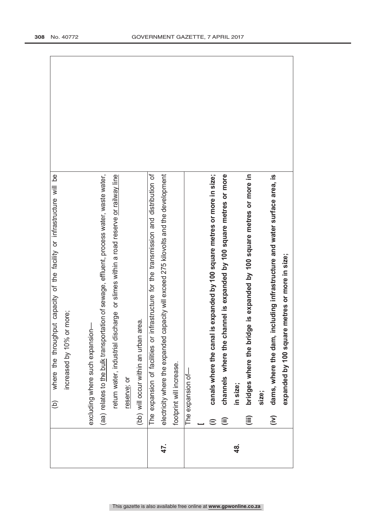|     | <u>be</u><br>where the throughput capacity of the facility or infrastructure will<br>$\widehat{e}$ |
|-----|----------------------------------------------------------------------------------------------------|
|     | or more;<br>increased by 10%                                                                       |
|     |                                                                                                    |
|     | excluding where such expansion-                                                                    |
|     | (aa) relates to the bulk transportation of sewage, effluent, process water, waste water,           |
|     | scharge or slimes within a road reserve or railway line<br>return water, industrial di             |
|     | reserve; or                                                                                        |
|     | area.<br>(bb) will occur within an urban                                                           |
|     | infrastructure for the transmission and distribution of<br>The expansion of facilities or          |
| 47. | capacity will exceed 275 kilovolts and the development<br>electricity where the expanded           |
|     | footprint will increase.                                                                           |
|     | The expansion of-                                                                                  |
|     |                                                                                                    |
|     | canals where the canal is expanded by 100 square metres or more in size;<br>$\widehat{\equiv}$     |
|     | channels where the channel is expanded by 100 square metres or more<br>ο                           |
| 48. | in size;                                                                                           |
|     | bridges where the bridge is expanded by 100 square metres or more in<br>(iii)                      |
|     | size;                                                                                              |
|     | including infrastructure and water surface area, is<br>dams, where the dam,<br>$\sum$              |
|     | expanded by 100 square metres or more in size;                                                     |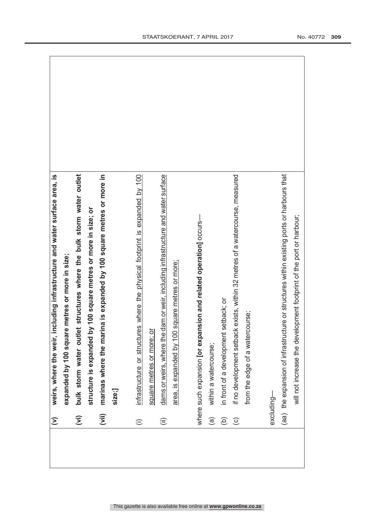| $\mathfrak{D}$         | weirs, where the weir, including infrastructure and water surface area, is                |
|------------------------|-------------------------------------------------------------------------------------------|
|                        | expanded by 100 square metres or more in size;                                            |
| $\overline{z}$         | bulk storm water outlet structures where the bulk storm water outlet                      |
|                        | structure is expanded by 100 square metres or more in size; or                            |
| (iii)                  | marinas where the marina is expanded by 100 square metres or more in                      |
|                        | size;]                                                                                    |
| $\oplus$               | infrastructure or structures where the physical footprint is expanded by 100              |
|                        | square metres or more; or                                                                 |
| $\widehat{\mathbf{H}}$ | e dam or weir, including infrastructure and water surface<br>dams or weirs, where th      |
|                        | 00 square metres or more;<br>area, is expanded by 1                                       |
|                        |                                                                                           |
|                        | where such expansion [or expansion and related operation] occurs-                         |
| $\widehat{a}$          | within a watercourse;                                                                     |
| $\widehat{\infty}$     | in front of a development setback; or                                                     |
| $\odot$                | if no development setback exists, within 32 metres of a watercourse, measured             |
|                        | from the edge of a watercourse;                                                           |
|                        |                                                                                           |
|                        | excluding-                                                                                |
|                        | (aa) the expansion of infrastructure or structures within existing ports or harbours that |
|                        | will not increase the development footprint of the port or harbour;                       |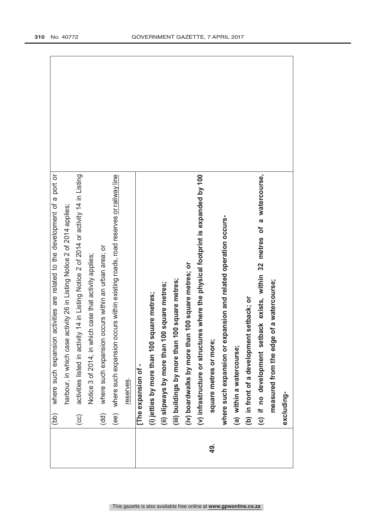|           | (bb)                   | activities are related to the development of a port or<br>where such expansion         |
|-----------|------------------------|----------------------------------------------------------------------------------------|
|           |                        | activity 26 in Listing Notice 2 of 2014 applies;<br>harbour, in which case             |
|           | $\odot$                | activities listed in activity 14 in Listing Notice 2 of 2014 or activity 14 in Listing |
|           |                        | Notice 3 of 2014, in which case that activity applies;                                 |
|           | $\widehat{\mathsf{d}}$ | occurs within an urban area; or<br>where such expansion                                |
|           |                        | (ee) where such expansion occurs within existing roads, road reserves or railway line  |
|           |                        | reserves.                                                                              |
|           |                        | The expansion of -                                                                     |
|           |                        | (i) jetties by more than 100 square metres;                                            |
|           |                        | (ii) slipways by more than 100 square metres;                                          |
|           |                        | 100 square metres;<br>(iii) buildings by more than 1                                   |
|           |                        | n 100 square metres; or<br>(iv) boardwalks by more that                                |
|           |                        | (v) infrastructure or structures where the physical footprint is expanded by 100       |
| <u>යු</u> |                        | square metres or more;                                                                 |
|           |                        | where such expansion or expansion and related operation occurs-                        |
|           |                        | (a) within a watercourse;                                                              |
|           |                        | (b) in front of a development setback; or                                              |
|           |                        | a watercourse,<br>(c) if no development setback exists, within 32 metres of            |
|           |                        | of a watercourse;<br>measured from the edge                                            |
|           |                        | excluding-                                                                             |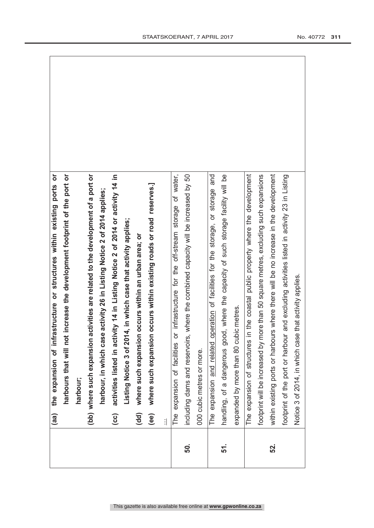|     | the expansion of infrastructure or structures within existing ports or<br>(aa)                   |
|-----|--------------------------------------------------------------------------------------------------|
|     | increase the development footprint of the port or<br>harbours that will not                      |
|     | harbour;                                                                                         |
|     | (bb) where such expansion activities are related to the development of a port or                 |
|     | harbour, in which case activity 26 in Listing Notice 2 of 2014 applies;                          |
|     | activities listed in activity 14 in Listing Notice 2 of 2014 or activity 14 in<br>$\overline{c}$ |
|     | 4, in which case that activity applies;<br>Listing Notice 3 of 201                               |
|     | occurs within an urban area; or<br>where such expansion<br>(dd)                                  |
|     | occurs within existing roads or road reserves.]<br>where such expansion<br>$\mathbf{e}$          |
|     | 1                                                                                                |
|     | of water,<br>expansion of facilities or infrastructure for the off-stream storage<br>The         |
| 50. | where the combined capacity will be increased by 50<br>including dams and reservoirs,            |
|     | 000 cubic metres or more.                                                                        |
|     | and<br>The expansion and related operation of facilities for the storage, or storage             |
| 51. | handling, of a dangerous good, where the capacity of such storage facility will be               |
|     | expanded by more than 80 cubic metres.                                                           |
|     | The expansion of structures in the coastal public property where the development                 |
|     | footprint will be increased by more than 50 square metres, excluding such expansions             |
| 52. | within existing ports or harbours where there will be no increase in the development             |
|     | and excluding activities listed in activity 23 in Listing<br>footprint of the port or harbour    |
|     | Notice 3 of 2014, in which case that activity applies.                                           |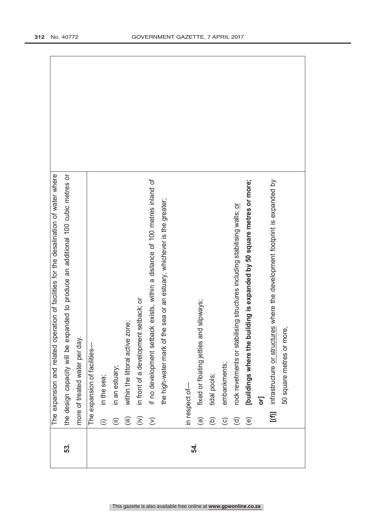|     |                                 | eration of facilities for the desalination of water where<br>The expansion and related op |
|-----|---------------------------------|-------------------------------------------------------------------------------------------|
| 53. |                                 | the design capacity will be expanded to produce an additional 100 cubic metres or         |
|     |                                 | more of treated water per day.                                                            |
|     |                                 | The expansion of facilities-                                                              |
|     | $\oplus$                        | in the sea;                                                                               |
|     | $\widehat{\equiv}$              | in an estuary;                                                                            |
|     | $\widehat{\equiv}$              | within the littoral active zone;                                                          |
|     | $\widehat{\boldsymbol{\Sigma}}$ | in front of a development setback; or                                                     |
|     | $\widehat{\geq}$                | if no development setback exists, within a distance of 100 metres inland of               |
|     |                                 | the high-water mark of the sea or an estuary, whichever is the greater;                   |
|     |                                 | in respect of-                                                                            |
| 54. |                                 |                                                                                           |
|     | $\widehat{\mathbf{e}}$          | fixed or floating jetties and slipways;                                                   |
|     | ЭÓ                              | tidal pools;                                                                              |
|     | $\odot$                         | embankments;                                                                              |
|     | $\widehat{\sigma}$              | rock revetments or stabilising structures including stabilising walls; or                 |
|     | $\circlede$                     | [buildings where the building is expanded by 50 square metres or more;                    |
|     |                                 | δŁ                                                                                        |
|     | [(f)]                           | infrastructure or structures where the development footprint is expanded by               |
|     |                                 | 50 square metres or more,                                                                 |
|     |                                 |                                                                                           |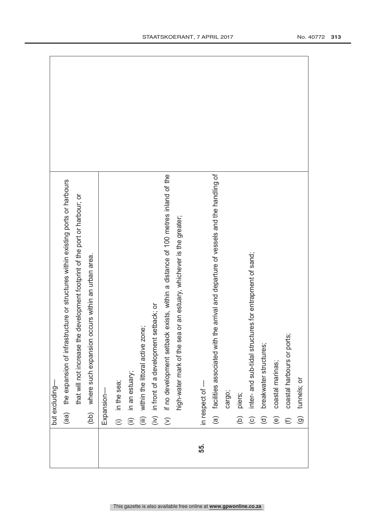|     |                           | but excluding-                                                                             |
|-----|---------------------------|--------------------------------------------------------------------------------------------|
|     | (aa)                      | the expansion of infrastructure or structures within existing ports or harbours            |
|     |                           | e development footprint of the port or harbour; or<br>that will not increase th            |
|     |                           | (bb) where such expansion occurs within an urban area.                                     |
|     |                           | Expansion-                                                                                 |
|     | $\oplus$                  | in the sea;                                                                                |
|     | $\widehat{\equiv}$        | in an estuary;                                                                             |
|     | $\widehat{(\mathbb{ii})}$ | within the littoral active zone;                                                           |
|     | (i)                       | in front of a development setback; or                                                      |
|     | $\overline{z}$            | if no development setback exists, within a distance of 100 metres inland of the            |
|     |                           | high-water mark of the sea or an estuary, whichever is the greater;                        |
|     |                           |                                                                                            |
| 55. |                           | in respect of -                                                                            |
|     |                           | the arrival and departure of vessels and the handling of<br>(a) facilities associated with |
|     |                           | cargo;                                                                                     |
|     | $\widehat{e}$             | piers;                                                                                     |
|     | $\odot$                   | inter- and sub-tidal structures for entrapment of sand;                                    |
|     | $\widehat{\sigma}$        | breakwater structures;                                                                     |
|     | $\circlede$               | coastal marinas;                                                                           |
|     | $\widehat{\epsilon}$      | coastal harbours or ports;                                                                 |
|     | $\widehat{\Theta}$        | tunnels; or                                                                                |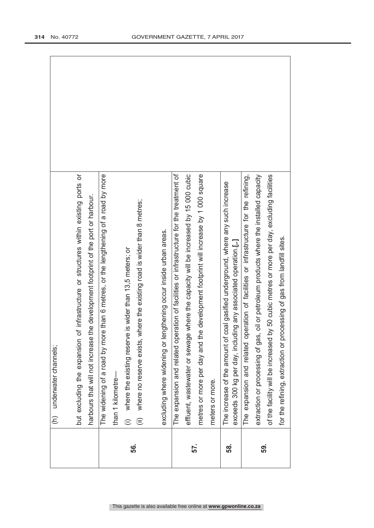|     | (h) underwater channels;                                                                                                                               |
|-----|--------------------------------------------------------------------------------------------------------------------------------------------------------|
|     |                                                                                                                                                        |
|     | of infrastructure or structures within existing ports or<br>but excluding the expansion                                                                |
|     | the development footprint of the port or harbour.<br>harbours that will not increase                                                                   |
|     | The widening of a road by more than 6 metres, or the lengthening of a road by more                                                                     |
|     | than 1 kilometre-                                                                                                                                      |
| 56. | where the existing reserve is wider than 13,5 meters; or<br>$\oplus$                                                                                   |
|     | where the existing road is wider than 8 metres;<br>where no reserve exists,<br>$\widehat{\equiv}$                                                      |
|     |                                                                                                                                                        |
|     | excluding where widening or lengthening occur inside urban areas.                                                                                      |
|     | The expansion and related operation of facilities or infrastructure for the treatment of                                                               |
| 57. | effluent, wastewater or sewage where the capacity will be increased by 15 000 cubic                                                                    |
|     | metres or more per day and the development footprint will increase by 1 000 square                                                                     |
|     | meters or more.                                                                                                                                        |
| 58. | coal gasified underground, where any such increase<br>exceeds 300 kg per day, including any associated operation.[,.]<br>The increase of the amount of |
|     | peration of facilities or infrastructure for the refining,<br>The expansion and related o                                                              |
| 59. | extraction or processing of gas, oil or petroleum products where the installed capacity                                                                |
|     | by 50 cubic metres or more per day, excluding facilities<br>of the facility will be increased                                                          |
|     | for the refining, extraction or processing of gas from landfill sites.                                                                                 |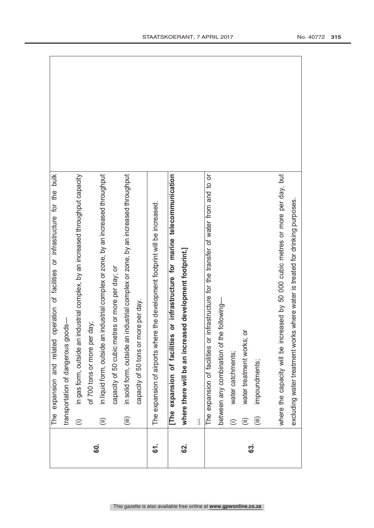|             | operation of facilities or infrastructure for the bulk<br>The expansion and related                 |
|-------------|-----------------------------------------------------------------------------------------------------|
|             | transportation of dangerous goods-                                                                  |
|             | industrial complex, by an increased throughput capacity<br>in gas form, outside an<br>$\widehat{=}$ |
| <b>60.</b>  | day;<br>of 700 tons or more per                                                                     |
|             | in liquid form, outside an industrial complex or zone, by an increased throughput<br>$\widehat{=}$  |
|             | capacity of 50 cubic metres or more per day; or                                                     |
|             | in solid form, outside an industrial complex or zone, by an increased throughput<br>(iii)           |
|             | capacity of 50 tons or more per day.                                                                |
| <u>ទា</u> . | The expansion of airports where the development footprint will be increased.                        |
|             | [The expansion of facilities or infrastructure for marine telecommunication                         |
| <u>ଟେ</u>   | where there will be an increased development footprint.]                                            |
|             | $\mathbf{i}$                                                                                        |
|             | infrastructure for the transfer of water from and to or<br>The expansion of facilities or           |
|             | e following-<br>between any combination of th                                                       |
|             | water catchments;<br>$\oplus$                                                                       |
|             | $\overline{\sigma}$<br>water treatment works;<br>$\widehat{\equiv}$                                 |
| ය.          | impoundments;<br>這                                                                                  |
|             |                                                                                                     |
|             | where the capacity will be increased by 50 000 cubic metres or more per day, but                    |
|             | excluding water treatment works where water is treated for drinking purposes.                       |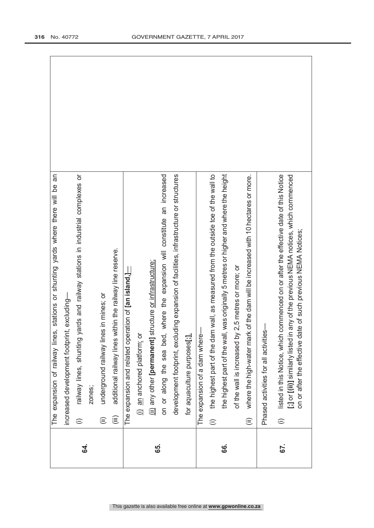| $\oplus$<br><b>S4.</b> | The expansion of railway lines, stations or shunting yards where there will be an                                                                                                                                                               |
|------------------------|-------------------------------------------------------------------------------------------------------------------------------------------------------------------------------------------------------------------------------------------------|
|                        | increased development footprint, excluding-                                                                                                                                                                                                     |
|                        | yards and railway stations in industrial complexes or<br>railway lines, shunting                                                                                                                                                                |
|                        | zones;                                                                                                                                                                                                                                          |
| $\widehat{\equiv}$     | underground railway lines in mines; or                                                                                                                                                                                                          |
| (iii)                  | additional railway lines within the railway line reserve.                                                                                                                                                                                       |
|                        | The expansion and related operation of $[$ an island, $\equiv$                                                                                                                                                                                  |
|                        | (i) an anchored platform; or                                                                                                                                                                                                                    |
| 65.                    | (ii) any other [permanent] structure or infrastructure;                                                                                                                                                                                         |
|                        | where the expansion will constitute an increased<br>on or along the sea bed,                                                                                                                                                                    |
|                        | uding expansion of facilities, infrastructure or structures<br>development footprint, exclu                                                                                                                                                     |
|                        | for aquaculture purposes[;].                                                                                                                                                                                                                    |
|                        | The expansion of a dam where-                                                                                                                                                                                                                   |
| $\oplus$               | the highest part of the dam wall, as measured from the outside toe of the wall to                                                                                                                                                               |
| <u>ဖွ</u>              | the highest part of the wall, was originally 5 metres or higher and where the height                                                                                                                                                            |
|                        | of the wall is increased by 2,5 metres or more; or                                                                                                                                                                                              |
| $\widehat{=}$          | where the high-water mark of the dam will be increased with 10 hectares or more.                                                                                                                                                                |
|                        | ပ္ပံ<br>Phased activities for all activitie                                                                                                                                                                                                     |
| $\oplus$<br>67.        | commenced on or after the effective date of this Notice<br>[:] or [(ii)] similarly listed in any of the previous NEMA notices, which commenced<br>on or after the effective date of such previous NEMA Notices;<br>listed in this Notice, which |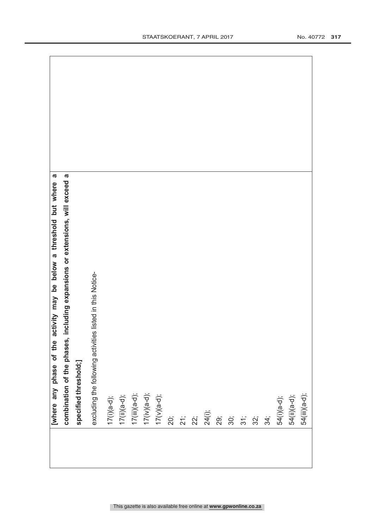| a<br>activity may be below a threshold but where<br>[where any phase of the     |
|---------------------------------------------------------------------------------|
| including expansions or extensions, will exceed a<br>combination of the phases, |
| specified threshold;]                                                           |
| excluding the following activities listed in this Notice-                       |
| $17(i)(a-d);$                                                                   |
|                                                                                 |
|                                                                                 |
| 17(ii)(a-d);<br>17(iii)(a-d);<br>17(iv)(a-d);                                   |
| $17(v)(a-d);$                                                                   |
| 20;                                                                             |
| 21;                                                                             |
| 22;                                                                             |
| 24(i);                                                                          |
| 29;                                                                             |
| 30;                                                                             |
| 31;                                                                             |
| 32;                                                                             |
| 34;                                                                             |
| 54(i)(a-d);                                                                     |
| 54(ii)(a-d);                                                                    |
| 54(iii)(a-d);                                                                   |